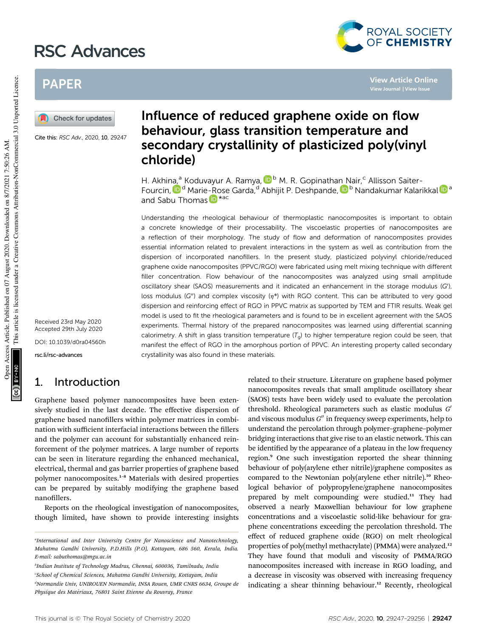# RSC Advances



**View Article Online View Journal | View Issue**

## PAPER



Cite this: RSC Adv., 2020, 10, 29247

Fourcin, D<sup>e</sup> Marie-Rose Garda, <sup>d</sup> Abhijit P. Deshpande, D<sup>b</sup> Nandakumar Kalarikkal D<sup>a</sup> and Sabu Thomas **iD** \*<sup>ac</sup> Understanding the rheological behaviour of thermoplastic nanocomposites is important to obtain

chloride)

a concrete knowledge of their processability. The viscoelastic properties of nanocomposites are a reflection of their morphology. The study of flow and deformation of nanocomposites provides essential information related to prevalent interactions in the system as well as contribution from the dispersion of incorporated nanofillers. In the present study, plasticized polyvinyl chloride/reduced graphene oxide nanocomposites (PPVC/RGO) were fabricated using melt mixing technique with different filler concentration. Flow behaviour of the nanocomposites was analyzed using small amplitude oscillatory shear (SAOS) measurements and it indicated an enhancement in the storage modulus (G'), loss modulus (G'') and complex viscosity  $(n^*)$  with RGO content. This can be attributed to very good dispersion and reinforcing effect of RGO in PPVC matrix as supported by TEM and FTIR results. Weak gel model is used to fit the rheological parameters and is found to be in excellent agreement with the SAOS experiments. Thermal history of the prepared nanocomposites was learned using differential scanning calorimetry. A shift in glass transition temperature  $(T<sub>o</sub>)$  to higher temperature region could be seen, that manifest the effect of RGO in the amorphous portion of PPVC. An interesting property called secondary crystallinity was also found in these materials.

Influence of reduced graphene oxide on flow behaviour, glass transition temperature and

secondary crystallinity of plasticized poly(vinyl

H. Akhina,<sup>a</sup> Koduvayur A. Ramya, D<sup>b</sup> M. R. Gopinathan Nair,<sup>c</sup> Allisson Saiter-

Received 23rd May 2020 Accepted 29th July 2020

DOI: 10.1039/d0ra04560h

rsc.li/rsc-advances

## 1. Introduction

Graphene based polymer nanocomposites have been extensively studied in the last decade. The effective dispersion of graphene based nanofillers within polymer matrices in combination with sufficient interfacial interactions between the fillers and the polymer can account for substantially enhanced reinforcement of the polymer matrices. A large number of reports can be seen in literature regarding the enhanced mechanical, electrical, thermal and gas barrier properties of graphene based polymer nanocomposites.<sup>1</sup>–<sup>8</sup> Materials with desired properties can be prepared by suitably modifying the graphene based nanofillers.

Reports on the rheological investigation of nanocomposites, though limited, have shown to provide interesting insights

*b Indian Institute of Technology Madras, Chennai, 600036, Tamilnadu, India <sup>c</sup>School of Chemical Sciences, Mahatma Gandhi University, Kottayam, India <sup>d</sup>Normandie Univ, UNIROUEN Normandie, INSA Rouen, UMR CNRS 6634, Groupe de Physique des Mat´eriaux, 76801 Saint Etienne du Rouvray, France*

related to their structure. Literature on graphene based polymer nanocomposites reveals that small amplitude oscillatory shear (SAOS) tests have been widely used to evaluate the percolation threshold. Rheological parameters such as elastic modulus *G* 0 and viscous modulus G" in frequency sweep experiments, help to understand the percolation through polymer–graphene–polymer bridging interactions that give rise to an elastic network. This can be identified by the appearance of a plateau in the low frequency region.<sup>9</sup> One such investigation reported the shear thinning behaviour of poly(arylene ether nitrile)/graphene composites as compared to the Newtonian poly(arylene ether nitrile).<sup>10</sup> Rheological behavior of polypropylene/graphene nanocomposites prepared by melt compounding were studied.<sup>11</sup> They had observed a nearly Maxwellian behaviour for low graphene concentrations and a viscoelastic solid-like behaviour for graphene concentrations exceeding the percolation threshold. The effect of reduced graphene oxide (RGO) on melt rheological properties of poly(methyl methacrylate) (PMMA) were analyzed.<sup>12</sup> They have found that moduli and viscosity of PMMA/RGO nanocomposites increased with increase in RGO loading, and a decrease in viscosity was observed with increasing frequency indicating a shear thinning behaviour.<sup>12</sup> Recently, rheological

*a International and Inter University Centre for Nanoscience and Nanotechnology, Mahatma Gandhi University, P.D.Hills (P.O), Kottayam, 686 560, Kerala, India. E-mail: sabuthomas@mgu.ac.in*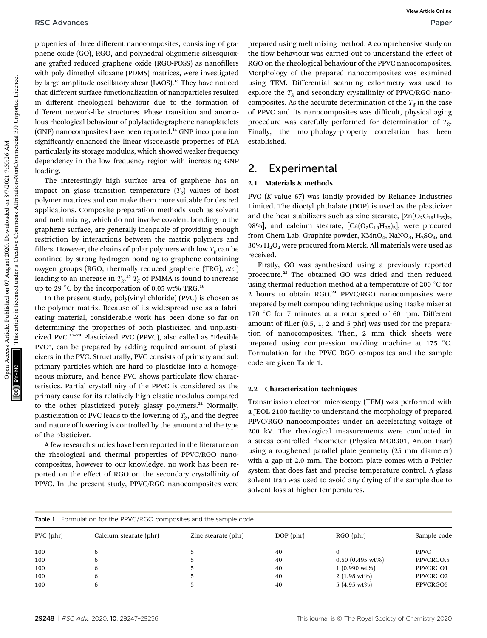properties of three different nanocomposites, consisting of graphene oxide (GO), RGO, and polyhedral oligomeric silsesquioxane grafted reduced graphene oxide (RGO-POSS) as nanofillers with poly dimethyl siloxane (PDMS) matrices, were investigated by large amplitude oscillatory shear (LAOS).<sup>13</sup> They have noticed that different surface functionalization of nanoparticles resulted in different rheological behaviour due to the formation of different network-like structures. Phase transition and anomalous rheological behaviour of polylactide/graphene nanoplatelets (GNP) nanocomposites have been reported.<sup>14</sup> GNP incorporation significantly enhanced the linear viscoelastic properties of PLA particularly its storage modulus, which showed weaker frequency dependency in the low frequency region with increasing GNP loading.

The interestingly high surface area of graphene has an impact on glass transition temperature  $(T_{\rm g})$  values of host polymer matrices and can make them more suitable for desired applications. Composite preparation methods such as solvent and melt mixing, which do not involve covalent bonding to the graphene surface, are generally incapable of providing enough restriction by interactions between the matrix polymers and fillers. However, the chains of polar polymers with low  $T_g$  can be confined by strong hydrogen bonding to graphene containing oxygen groups (RGO, thermally reduced graphene (TRG), *etc.*) leading to an increase in  $T_{\rm g}$ .<sup>15</sup>  $T_{\rm g}$  of PMMA is found to increase up to 29 °C by the incorporation of 0.05 wt% TRG.<sup>16</sup>

In the present study, poly(vinyl chloride) (PVC) is chosen as the polymer matrix. Because of its widespread use as a fabricating material, considerable work has been done so far on determining the properties of both plasticized and unplasticized PVC.<sup>17</sup>–<sup>20</sup> Plasticized PVC (PPVC), also called as "Flexible PVC", can be prepared by adding required amount of plasticizers in the PVC. Structurally, PVC consists of primary and sub primary particles which are hard to plasticize into a homogeneous mixture, and hence PVC shows particulate flow characteristics. Partial crystallinity of the PPVC is considered as the primary cause for its relatively high elastic modulus compared to the other plasticized purely glassy polymers.<sup>21</sup> Normally, plasticization of PVC leads to the lowering of  $T_g$ , and the degree and nature of lowering is controlled by the amount and the type of the plasticizer.

A few research studies have been reported in the literature on the rheological and thermal properties of PPVC/RGO nanocomposites, however to our knowledge; no work has been reported on the effect of RGO on the secondary crystallinity of PPVC. In the present study, PPVC/RGO nanocomposites were

prepared using melt mixing method. A comprehensive study on the flow behaviour was carried out to understand the effect of RGO on the rheological behaviour of the PPVC nanocomposites. Morphology of the prepared nanocomposites was examined using TEM. Differential scanning calorimetry was used to explore the  $T_g$  and secondary crystallinity of PPVC/RGO nanocomposites. As the accurate determination of the  $T_g$  in the case of PPVC and its nanocomposites was difficult, physical aging procedure was carefully performed for determination of  $T_g$ . Finally, the morphology–property correlation has been established.

## 2. Experimental

### 2.1 Materials & methods

PVC (*K* value 67) was kindly provided by Reliance Industries Limited. The dioctyl phthalate (DOP) is used as the plasticizer and the heat stabilizers such as zinc stearate,  $[\text{Zn}(\text{O}_2\text{C}_{18}\text{H}_{35})_2]$ , 98%], and calcium stearate,  $[Ca(O_2C_{18}H_{35})_2]$ , were procured from Chem Lab. Graphite powder,  $KMnO<sub>4</sub>$ , NaNO<sub>3</sub>, H<sub>2</sub>SO<sub>4</sub>, and  $30\%$  H<sub>2</sub>O<sub>2</sub> were procured from Merck. All materials were used as received.

Firstly, GO was synthesized using a previously reported procedure.<sup>23</sup> The obtained GO was dried and then reduced using thermal reduction method at a temperature of 200  $^{\circ}$ C for 2 hours to obtain RGO.<sup>24</sup> PPVC/RGO nanocomposites were prepared by melt compounding technique using Haake mixer at 170 °C for 7 minutes at a rotor speed of 60 rpm. Different amount of filler  $(0.5, 1, 2, 4)$  and 5 phr) was used for the preparation of nanocomposites. Then, 2 mm thick sheets were prepared using compression molding machine at 175 °C. Formulation for the PPVC–RGO composites and the sample code are given Table 1.

#### 2.2 Characterization techniques

Transmission electron microscopy (TEM) was performed with a JEOL 2100 facility to understand the morphology of prepared PPVC/RGO nanocomposites under an accelerating voltage of 200 kV. The rheological measurements were conducted in a stress controlled rheometer (Physica MCR301, Anton Paar) using a roughened parallel plate geometry (25 mm diameter) with a gap of 2.0 mm. The bottom plate comes with a Peltier system that does fast and precise temperature control. A glass solvent trap was used to avoid any drying of the sample due to solvent loss at higher temperatures.

| <b>Table 1</b> Formulation for the PPVC/RGO composites and the sample code |                        |                     |             |                               |             |  |
|----------------------------------------------------------------------------|------------------------|---------------------|-------------|-------------------------------|-------------|--|
| $PVC$ ( $phr$ )                                                            | Calcium stearate (phr) | Zinc stearate (phr) | $DOP$ (phr) | $RGO$ (phr)                   | Sample code |  |
| 100                                                                        |                        |                     | 40          |                               | <b>PPVC</b> |  |
| 100                                                                        |                        |                     | 40          | $0.50$ $(0.495 \text{ wt\%})$ | PPVCRGO.5   |  |
| 100                                                                        |                        |                     | 40          | $1(0.990 \text{ wt\%})$       | PPVCRGO1    |  |
| 100                                                                        |                        |                     | 40          | $2(1.98 \text{ wt})$          | PPVCRGO2    |  |
| 100                                                                        |                        |                     | 40          | $5(4.95 \text{ wt})$          | PPVCRGO5    |  |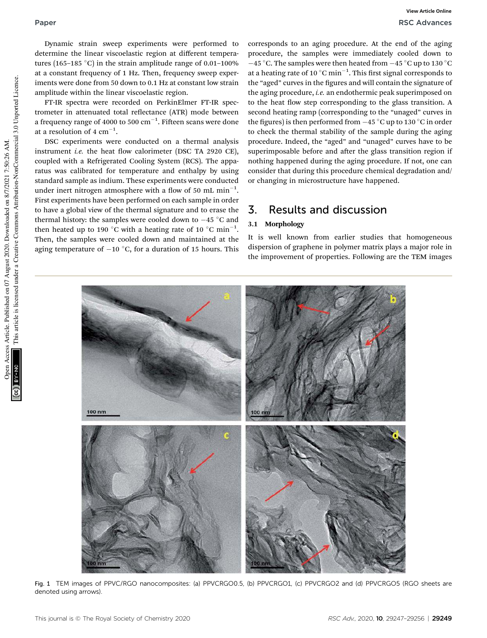Dynamic strain sweep experiments were performed to determine the linear viscoelastic region at different temperatures (165-185  $^{\circ}$ C) in the strain amplitude range of 0.01-100% at a constant frequency of 1 Hz. Then, frequency sweep experiments were done from 50 down to 0.1 Hz at constant low strain amplitude within the linear viscoelastic region.

FT-IR spectra were recorded on PerkinElmer FT-IR spectrometer in attenuated total reflectance (ATR) mode between a frequency range of 4000 to 500  $\rm cm^{-1}$ . Fifteen scans were done at a resolution of 4  $\rm cm^{-1}.$ 

DSC experiments were conducted on a thermal analysis instrument *i.e.* the heat flow calorimeter (DSC TA 2920 CE), coupled with a Refrigerated Cooling System (RCS). The apparatus was calibrated for temperature and enthalpy by using standard sample as indium. These experiments were conducted under inert nitrogen atmosphere with a flow of 50 mL  $\mathrm{min}^{-1}$ . First experiments have been performed on each sample in order to have a global view of the thermal signature and to erase the thermal history: the samples were cooled down to  $-45$  °C and then heated up to 190 °C with a heating rate of 10 °C min $^{-1}$ . Then, the samples were cooled down and maintained at the aging temperature of  $-10$  °C, for a duration of 15 hours. This

corresponds to an aging procedure. At the end of the aging procedure, the samples were immediately cooled down to  $-45\,^{\circ}\textrm{C}.$  The samples were then heated from  $-45\,^{\circ}\textrm{C}$  up to 130  $^{\circ}\textrm{C}$ at a heating rate of 10  $^{\circ} \mathrm{C}$  min $^{-1}$ . This first signal corresponds to the "aged" curves in the figures and will contain the signature of the aging procedure, *i.e.* an endothermic peak superimposed on to the heat flow step corresponding to the glass transition. A second heating ramp (corresponding to the "unaged" curves in the figures) is then performed from  $-45$  °C up to 130 °C in order to check the thermal stability of the sample during the aging procedure. Indeed, the "aged" and "unaged" curves have to be superimposable before and after the glass transition region if nothing happened during the aging procedure. If not, one can consider that during this procedure chemical degradation and/ or changing in microstructure have happened.

## 3. Results and discussion

### 3.1 Morphology

It is well known from earlier studies that homogeneous dispersion of graphene in polymer matrix plays a major role in the improvement of properties. Following are the TEM images



Fig. 1 TEM images of PPVC/RGO nanocomposites: (a) PPVCRGO0.5, (b) PPVCRGO1, (c) PPVCRGO2 and (d) PPVCRGO5 (RGO sheets are denoted using arrows).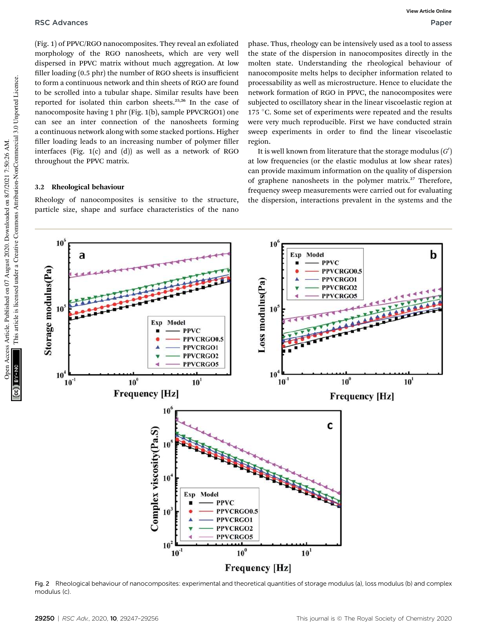(Fig. 1) of PPVC/RGO nanocomposites. They reveal an exfoliated morphology of the RGO nanosheets, which are very well dispersed in PPVC matrix without much aggregation. At low filler loading (0.5 phr) the number of RGO sheets is insufficient to form a continuous network and thin sheets of RGO are found to be scrolled into a tubular shape. Similar results have been reported for isolated thin carbon sheets.25,26 In the case of nanocomposite having 1 phr (Fig. 1(b), sample PPVCRGO1) one can see an inter connection of the nanosheets forming a continuous network along with some stacked portions. Higher filler loading leads to an increasing number of polymer filler interfaces (Fig. 1(c) and (d)) as well as a network of RGO throughout the PPVC matrix.

#### 3.2 Rheological behaviour

Rheology of nanocomposites is sensitive to the structure, particle size, shape and surface characteristics of the nano

phase. Thus, rheology can be intensively used as a tool to assess the state of the dispersion in nanocomposites directly in the molten state. Understanding the rheological behaviour of nanocomposite melts helps to decipher information related to processability as well as microstructure. Hence to elucidate the network formation of RGO in PPVC, the nanocomposites were subjected to oscillatory shear in the linear viscoelastic region at 175 °C. Some set of experiments were repeated and the results were very much reproducible. First we have conducted strain sweep experiments in order to find the linear viscoelastic region.

It is well known from literature that the storage modulus  $(G^{\prime})$ at low frequencies (or the elastic modulus at low shear rates) can provide maximum information on the quality of dispersion of graphene nanosheets in the polymer matrix.<sup>27</sup> Therefore, frequency sweep measurements were carried out for evaluating the dispersion, interactions prevalent in the systems and the



Fig. 2 Rheological behaviour of nanocomposites: experimental and theoretical quantities of storage modulus (a), loss modulus (b) and complex modulus (c).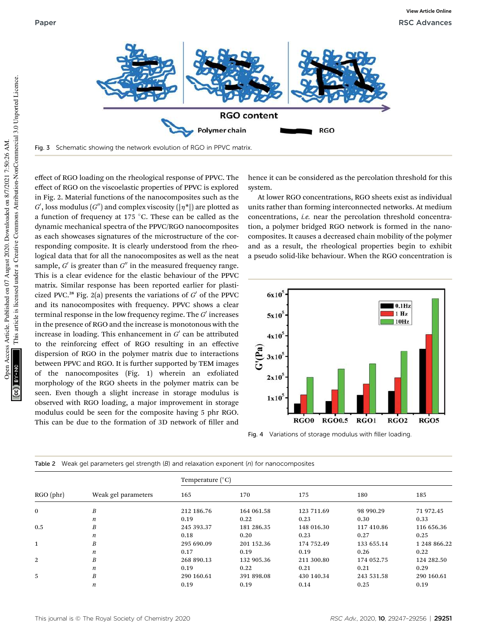

Fig. 3 Schematic showing the network evolution of RGO in PPVC matrix.

This article is licensed under a Creative Commons Attribution-NonCommercial 3.0 Unported Licence. This article is licensed under a Creative Commons Attribution-NonCommercial 3.0 Unported Licence. Open Access Article. Published on 07 August 2020. Downloaded on 8/7/2021 7:50:26 AM. pen Access Article. Published on 07 August 2020. Downloaded on 8/7/2021 7:50:26 AM.

effect of RGO loading on the rheological response of PPVC. The effect of RGO on the viscoelastic properties of PPVC is explored in Fig. 2. Material functions of the nanocomposites such as the  $G'$ , loss modulus  $(G'')$  and complex viscosity  $(|\eta^*|)$  are plotted as a function of frequency at 175  $^{\circ}$ C. These can be called as the dynamic mechanical spectra of the PPVC/RGO nanocomposites as each showcases signatures of the microstructure of the corresponding composite. It is clearly understood from the rheological data that for all the nanocomposites as well as the neat sample,  $G'$  is greater than  $G''$  in the measured frequency range. This is a clear evidence for the elastic behaviour of the PPVC matrix. Similar response has been reported earlier for plasticized PVC.<sup>28</sup> Fig. 2(a) presents the variations of  $G'$  of the PPVC and its nanocomposites with frequency. PPVC shows a clear terminal response in the low frequency regime. The *G'* increases in the presence of RGO and the increase is monotonous with the increase in loading. This enhancement in  $G'$  can be attributed to the reinforcing effect of RGO resulting in an effective dispersion of RGO in the polymer matrix due to interactions between PPVC and RGO. It is further supported by TEM images of the nanocomposites (Fig. 1) wherein an exfoliated morphology of the RGO sheets in the polymer matrix can be seen. Even though a slight increase in storage modulus is observed with RGO loading, a major improvement in storage modulus could be seen for the composite having 5 phr RGO. This can be due to the formation of 3D network of filler and

hence it can be considered as the percolation threshold for this system.

At lower RGO concentrations, RGO sheets exist as individual units rather than forming interconnected networks. At medium concentrations, *i.e.* near the percolation threshold concentration, a polymer bridged RGO network is formed in the nanocomposites. It causes a decreased chain mobility of the polymer and as a result, the rheological properties begin to exhibit a pseudo solid-like behaviour. When the RGO concentration is



Fig. 4 Variations of storage modulus with filler loading.

| $RGO$ (phr)  | Weak gel parameters | Temperature (°C) |            |            |            |              |  |
|--------------|---------------------|------------------|------------|------------|------------|--------------|--|
|              |                     | 165              | 170        | 175        | 180        | 185          |  |
| $\mathbf{0}$ | $\boldsymbol{B}$    | 212 186.76       | 164 061.58 | 123 711.69 | 98 990.29  | 71 972.45    |  |
|              | n                   | 0.19             | 0.22       | 0.23       | 0.30       | 0.33         |  |
| 0.5          | $\boldsymbol{B}$    | 245 393.37       | 181 286.35 | 148 016.30 | 117 410.86 | 116 656.36   |  |
|              | $\boldsymbol{n}$    | 0.18             | 0.20       | 0.23       | 0.27       | 0.25         |  |
| $\mathbf{1}$ | $\boldsymbol{B}$    | 295 690.09       | 201 152.36 | 174 752.49 | 133 655.14 | 1 248 866.22 |  |
|              | $\boldsymbol{n}$    | 0.17             | 0.19       | 0.19       | 0.26       | 0.22         |  |
| 2            | $\boldsymbol{B}$    | 268 890.13       | 132 905.36 | 211 300.80 | 174 052.75 | 124 282.50   |  |
|              | $\boldsymbol{n}$    | 0.19             | 0.22       | 0.21       | 0.21       | 0.29         |  |
| 5            | $\boldsymbol{B}$    | 290 160.61       | 391 898.08 | 430 140.34 | 243 531.58 | 290 160.61   |  |
|              | n                   | 0.19             | 0.19       | 0.14       | 0.25       | 0.19         |  |

|  |  |  | Table 2 Weak gel parameters gel strength (B) and relaxation exponent (n) for nanocomposites |
|--|--|--|---------------------------------------------------------------------------------------------|
|  |  |  |                                                                                             |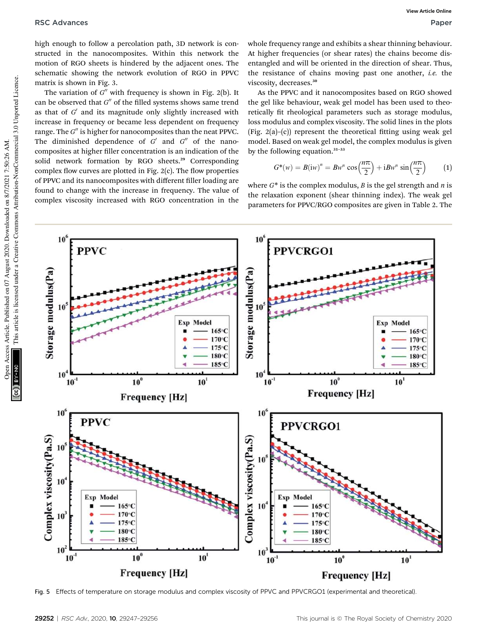high enough to follow a percolation path, 3D network is constructed in the nanocomposites. Within this network the motion of RGO sheets is hindered by the adjacent ones. The schematic showing the network evolution of RGO in PPVC matrix is shown in Fig. 3.

The variation of *G*<sup>*n*</sup> with frequency is shown in Fig. 2(b). It can be observed that G" of the filled systems shows same trend as that of G' and its magnitude only slightly increased with increase in frequency or became less dependent on frequency range. The G" is higher for nanocomposites than the neat PPVC. The diminished dependence of  $G'$  and  $G''$  of the nanocomposites at higher filler concentration is an indication of the solid network formation by RGO sheets.<sup>29</sup> Corresponding complex flow curves are plotted in Fig.  $2(c)$ . The flow properties of PPVC and its nanocomposites with different filler loading are found to change with the increase in frequency. The value of complex viscosity increased with RGO concentration in the

whole frequency range and exhibits a shear thinning behaviour. At higher frequencies (or shear rates) the chains become disentangled and will be oriented in the direction of shear. Thus, the resistance of chains moving past one another, *i.e.* the viscosity, decreases.<sup>30</sup>

As the PPVC and it nanocomposites based on RGO showed the gel like behaviour, weak gel model has been used to theoretically fit rheological parameters such as storage modulus, loss modulus and complex viscosity. The solid lines in the plots (Fig.  $2(a)$ –(c)) represent the theoretical fitting using weak gel model. Based on weak gel model, the complex modulus is given by the following equation. $31-33$ 

$$
G^*(w) = B(iw)^n = Bw^n \cos\left(\frac{n\pi}{2}\right) + iBw^n \sin\left(\frac{n\pi}{2}\right) \tag{1}
$$

where *G*\* is the complex modulus, *B* is the gel strength and *n* is the relaxation exponent (shear thinning index). The weak gel parameters for PPVC/RGO composites are given in Table 2. The



Fig. 5 Effects of temperature on storage modulus and complex viscosity of PPVC and PPVCRGO1 (experimental and theoretical).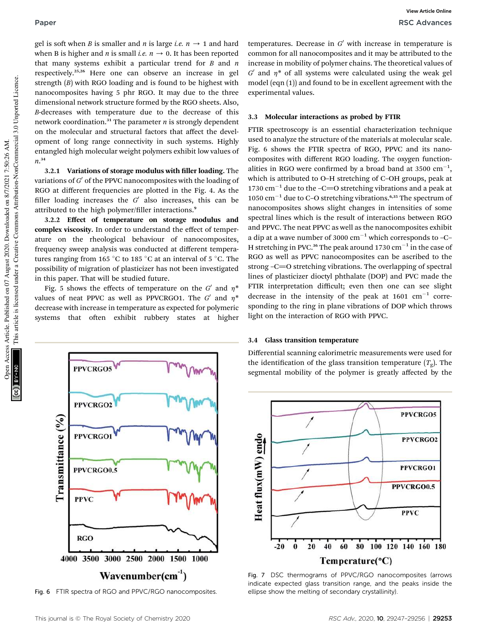gel is soft when *B* is smaller and *n* is large *i.e.*  $n \rightarrow 1$  and hard when B is higher and *n* is small *i.e.*  $n \rightarrow 0$ . It has been reported that many systems exhibit a particular trend for *B* and *n* respectively.25,26 Here one can observe an increase in gel strength (*B*) with RGO loading and is found to be highest with nanocomposites having 5 phr RGO. It may due to the three dimensional network structure formed by the RGO sheets. Also, *B*-decreases with temperature due to the decrease of this network coordination.<sup>31</sup> The parameter  $n$  is strongly dependent on the molecular and structural factors that affect the development of long range connectivity in such systems. Highly entangled high molecular weight polymers exhibit low values of *n*. 34

3.2.1 Variations of storage modulus with filler loading. The variations of  $G'$  of the PPVC nanocomposites with the loading of RGO at different frequencies are plotted in the Fig. 4. As the filler loading increases the  $G'$  also increases, this can be attributed to the high polymer/filler interactions.<sup>9</sup>

3.2.2 Effect of temperature on storage modulus and complex viscosity. In order to understand the effect of temperature on the rheological behaviour of nanocomposites, frequency sweep analysis was conducted at different temperatures ranging from 165  $^{\circ}$ C to 185  $^{\circ}$ C at an interval of 5  $^{\circ}$ C. The possibility of migration of plasticizer has not been investigated in this paper. That will be studied future.

Fig. 5 shows the effects of temperature on the  $G'$  and  $\eta^*$ values of neat PPVC as well as PPVCRGO1. The  $G'$  and  $\eta^*$ decrease with increase in temperature as expected for polymeric systems that often exhibit rubbery states at higher



Fig. 6 FTIR spectra of RGO and PPVC/RGO nanocomposites.

temperatures. Decrease in  $G'$  with increase in temperature is common for all nanocomposites and it may be attributed to the increase in mobility of polymer chains. The theoretical values of  $G'$  and  $\eta^*$  of all systems were calculated using the weak gel model (eqn (1)) and found to be in excellent agreement with the experimental values.

#### 3.3 Molecular interactions as probed by FTIR

FTIR spectroscopy is an essential characterization technique used to analyze the structure of the materials at molecular scale. Fig. 6 shows the FTIR spectra of RGO, PPVC and its nanocomposites with different RGO loading. The oxygen functionalities in RGO were confirmed by a broad band at 3500  $cm^{-1}$ , which is attributed to O–H stretching of C–OH groups, peak at 1730  $\text{cm}^{-1}$  due to the -C=O stretching vibrations and a peak at 1050  $\text{cm}^{-1}$  due to C-O stretching vibrations.<sup>6,35</sup> The spectrum of nanocomposites shows slight changes in intensities of some spectral lines which is the result of interactions between RGO and PPVC. The neat PPVC as well as the nanocomposites exhibit a dip at a wave number of 3000  $cm^{-1}$  which corresponds to -C-H stretching in PVC.<sup>36</sup> The peak around 1730  $\mathrm{cm}^{-1}$  in the case of RGO as well as PPVC nanocomposites can be ascribed to the strong -C=O stretching vibrations. The overlapping of spectral lines of plasticizer dioctyl phthalate (DOP) and PVC made the FTIR interpretation difficult; even then one can see slight decrease in the intensity of the peak at  $1601 \text{ cm}^{-1}$  corresponding to the ring in plane vibrations of DOP which throws light on the interaction of RGO with PPVC.

#### 3.4 Glass transition temperature

Differential scanning calorimetric measurements were used for the identification of the glass transition temperature  $(T_g)$ . The segmental mobility of the polymer is greatly affected by the



Fig. 7 DSC thermograms of PPVC/RGO nanocomposites (arrows indicate expected glass transition range, and the peaks inside the ellipse show the melting of secondary crystallinity).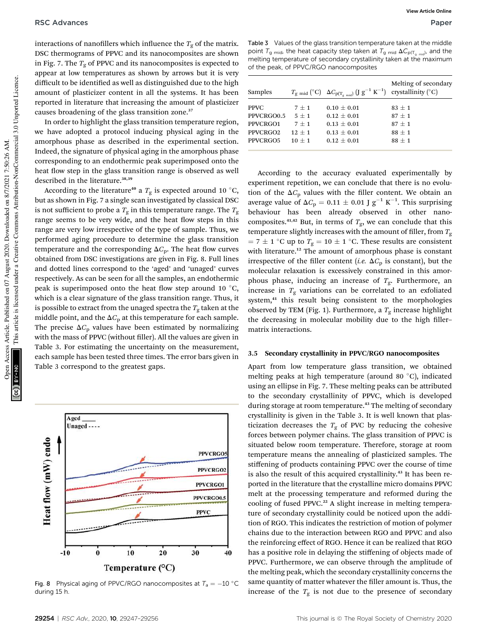interactions of nanofillers which influence the  $T_g$  of the matrix. DSC thermograms of PPVC and its nanocomposites are shown in Fig. 7. The  $T<sub>g</sub>$  of PPVC and its nanocomposites is expected to appear at low temperatures as shown by arrows but it is very difficult to be identified as well as distinguished due to the high amount of plasticizer content in all the systems. It has been reported in literature that increasing the amount of plasticizer causes broadening of the glass transition zone.<sup>37</sup>

In order to highlight the glass transition temperature region, we have adopted a protocol inducing physical aging in the amorphous phase as described in the experimental section. Indeed, the signature of physical aging in the amorphous phase corresponding to an endothermic peak superimposed onto the heat flow step in the glass transition range is observed as well described in the literature.<sup>38,39</sup>

According to the literature<sup>40</sup> a  $T_{\rm g}$  is expected around 10  $^{\circ}$ C, but as shown in Fig. 7 a single scan investigated by classical DSC is not sufficient to probe a  $T_{\rm g}$  in this temperature range. The  $T_{\rm g}$ range seems to be very wide, and the heat flow steps in this range are very low irrespective of the type of sample. Thus, we performed aging procedure to determine the glass transition temperature and the corresponding  $\Delta C_p$ . The heat flow curves obtained from DSC investigations are given in Fig. 8. Full lines and dotted lines correspond to the 'aged' and 'unaged' curves respectively. As can be seen for all the samples, an endothermic peak is superimposed onto the heat flow step around 10  $^{\circ}$ C, which is a clear signature of the glass transition range. Thus, it is possible to extract from the unaged spectra the  $T_{\mathrm{g}}$  taken at the middle point, and the  $\Delta C_p$  at this temperature for each sample. The precise  $\Delta C_p$  values have been estimated by normalizing with the mass of PPVC (without filler). All the values are given in Table 3. For estimating the uncertainty on the measurement, each sample has been tested three times. The error bars given in Table 3 correspond to the greatest gaps.



Fig. 8 Physical aging of PPVC/RGO nanocomposites at  $T_a = -10$  °C during 15 h.

Table 3 Values of the glass transition temperature taken at the middle point  $T_{\mathsf{g} \; \mathsf{mid}}$ , the heat capacity step taken at  $T_{\mathsf{g} \; \mathsf{mid}}$   $\Delta C_{\mathsf{p}(\mathsf{T}_{\mathsf{g} \; \mathsf{mid}})}$ , and the melting temperature of secondary crystallinity taken at the maximum of the peak, of PPVC/RGO nanocomposites

| Samples              |          | $T_{\text{g mid}}$ (°C) $\Delta C_{\text{p}(T_{\text{g mid}})}$ (J $g^{-1}$ K <sup>-1</sup> ) | Melting of secondary<br>crystallinity $({}^{\circ}C)$ |
|----------------------|----------|-----------------------------------------------------------------------------------------------|-------------------------------------------------------|
| <b>PPVC</b>          | $7 + 1$  | $0.10 + 0.01$                                                                                 | $83 + 1$                                              |
| PPVCRGO0.5           | $5 + 1$  | $0.12 + 0.01$                                                                                 | $87 + 1$                                              |
| PPVCRGO1             | $7 + 1$  | $0.13 + 0.01$                                                                                 | $87 + 1$                                              |
| PPVCRGO <sub>2</sub> | $12 + 1$ | $0.13 + 0.01$                                                                                 | $88 + 1$                                              |
| PPVCRGO5             | $10 + 1$ | $0.12 + 0.01$                                                                                 | $88 + 1$                                              |

According to the accuracy evaluated experimentally by experiment repetition, we can conclude that there is no evolution of the  $\Delta C_p$  values with the filler content. We obtain an average value of  $\Delta C_{\rm p} = 0.11 \pm 0.01$  J  ${\rm g}^{-1}$  K<sup>-1</sup>. This surprising behaviour has been already observed in other nanocomposites.<sup>41,42</sup> But, in terms of  $T_g$ , we can conclude that this temperature slightly increases with the amount of filler, from  $T_{\rm g}$  $= 7 \pm 1$  °C up to  $T_g = 10 \pm 1$  °C. These results are consistent with literature.<sup>12</sup> The amount of amorphous phase is constant irrespective of the filler content (*i.e.*  $\Delta C_p$  is constant), but the molecular relaxation is excessively constrained in this amorphous phase, inducing an increase of *T*g. Furthermore, an increase in  $T_g$  variations can be correlated to an exfoliated system,<sup>41</sup> this result being consistent to the morphologies observed by TEM (Fig. 1). Furthermore, a  $T_{\rm g}$  increase highlight the decreasing in molecular mobility due to the high fillermatrix interactions.

#### 3.5 Secondary crystallinity in PPVC/RGO nanocomposites

Apart from low temperature glass transition, we obtained melting peaks at high temperature (around 80 °C), indicated using an ellipse in Fig. 7. These melting peaks can be attributed to the secondary crystallinity of PPVC, which is developed during storage at room temperature.<sup>43</sup> The melting of secondary crystallinity is given in the Table 3. It is well known that plasticization decreases the  $T<sub>g</sub>$  of PVC by reducing the cohesive forces between polymer chains. The glass transition of PPVC is situated below room temperature. Therefore, storage at room temperature means the annealing of plasticized samples. The stiffening of products containing PPVC over the course of time is also the result of this acquired crystallinity.<sup>43</sup> It has been reported in the literature that the crystalline micro domains PPVC melt at the processing temperature and reformed during the cooling of fused PPVC.<sup>22</sup> A slight increase in melting temperature of secondary crystallinity could be noticed upon the addition of RGO. This indicates the restriction of motion of polymer chains due to the interaction between RGO and PPVC and also the reinforcing effect of RGO. Hence it can be realized that RGO has a positive role in delaying the stiffening of objects made of PPVC. Furthermore, we can observe through the amplitude of the melting peak, which the secondary crystallinity concerns the same quantity of matter whatever the filler amount is. Thus, the increase of the  $T<sub>g</sub>$  is not due to the presence of secondary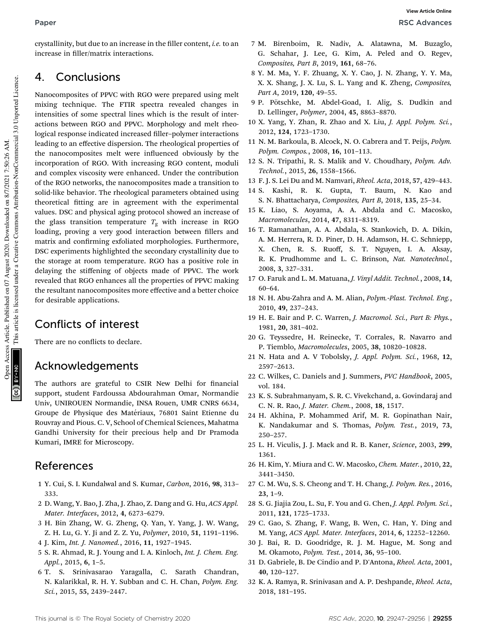crystallinity, but due to an increase in the filler content, *i.e.* to an increase in filler/matrix interactions.

## 4. Conclusions

Nanocomposites of PPVC with RGO were prepared using melt mixing technique. The FTIR spectra revealed changes in intensities of some spectral lines which is the result of interactions between RGO and PPVC. Morphology and melt rheological response indicated increased filler-polymer interactions leading to an effective dispersion. The rheological properties of the nanocomposites melt were influenced obviously by the incorporation of RGO. With increasing RGO content, moduli and complex viscosity were enhanced. Under the contribution of the RGO networks, the nanocomposites made a transition to solid-like behavior. The rheological parameters obtained using theoretical fitting are in agreement with the experimental values. DSC and physical aging protocol showed an increase of the glass transition temperature  $T_g$  with increase in RGO loading, proving a very good interaction between fillers and matrix and confirming exfoliated morphologies. Furthermore, DSC experiments highlighted the secondary crystallinity due to the storage at room temperature. RGO has a positive role in delaying the stiffening of objects made of PPVC. The work revealed that RGO enhances all the properties of PPVC making the resultant nanocomposites more effective and a better choice for desirable applications.

## Conflicts of interest

There are no conflicts to declare.

## Acknowledgements

The authors are grateful to CSIR New Delhi for financial support, student Fardoussa Abdourahman Omar, Normandie Univ, UNIROUEN Normandie, INSA Rouen, UMR CNRS 6634, Groupe de Physique des Matériaux, 76801 Saint Etienne du Rouvray and Pious. C. V, School of Chemical Sciences, Mahatma Gandhi University for their precious help and Dr Pramoda Kumari, IMRE for Microscopy.

## References

- 1 Y. Cui, S. I. Kundalwal and S. Kumar, *Carbon*, 2016, 98, 313– 333.
- 2 D. Wang, Y. Bao, J. Zha, J. Zhao, Z. Dang and G. Hu, *ACS Appl. Mater. Interfaces*, 2012, 4, 6273–6279.
- 3 H. Bin Zhang, W. G. Zheng, Q. Yan, Y. Yang, J. W. Wang, Z. H. Lu, G. Y. Ji and Z. Z. Yu, *Polymer*, 2010, 51, 1191–1196.
- 4 J. Kim, *Int. J. Nanomed.*, 2016, 11, 1927–1945.
- 5 S. R. Ahmad, R. J. Young and I. A. Kinloch, *Int. J. Chem. Eng. Appl.*, 2015, 6, 1–5.
- 6 T. S. Srinivasarao Yaragalla, C. Sarath Chandran, N. Kalarikkal, R. H. Y. Subban and C. H. Chan, *Polym. Eng. Sci.*, 2015, 55, 2439–2447.
- 7 M. Birenboim, R. Nadiv, A. Alatawna, M. Buzaglo, G. Schahar, J. Lee, G. Kim, A. Peled and O. Regev, *Composites, Part B*, 2019, 161, 68–76.
- 8 Y. M. Ma, Y. F. Zhuang, X. Y. Cao, J. N. Zhang, Y. Y. Ma, X. X. Shang, J. X. Lu, S. L. Yang and K. Zheng, *Composites, Part A*, 2019, 120, 49–55.
- 9 P. Pötschke, M. Abdel-Goad, I. Alig, S. Dudkin and D. Lellinger, *Polymer*, 2004, 45, 8863–8870.
- 10 X. Yang, Y. Zhan, R. Zhao and X. Liu, *J. Appl. Polym. Sci.*, 2012, 124, 1723–1730.
- 11 N. M. Barkoula, B. Alcock, N. O. Cabrera and T. Peijs, *Polym. Polym. Compos.*, 2008, 16, 101–113.
- 12 S. N. Tripathi, R. S. Malik and V. Choudhary, *Polym. Adv. Technol.*, 2015, 26, 1558–1566.
- 13 F. J. S. Lei Du and M. Namvari, *Rheol. Acta*, 2018, 57, 429–443.
- 14 S. Kashi, R. K. Gupta, T. Baum, N. Kao and S. N. Bhattacharya, *Composites, Part B*, 2018, 135, 25–34.
- 15 K. Liao, S. Aoyama, A. A. Abdala and C. Macosko, *Macromolecules*, 2014, 47, 8311–8319.
- 16 T. Ramanathan, A. A. Abdala, S. Stankovich, D. A. Dikin, A. M. Herrera, R. D. Piner, D. H. Adamson, H. C. Schniepp, X. Chen, R. S. Ruoff, S. T. Nguyen, I. A. Aksay, R. K. Prudhomme and L. C. Brinson, *Nat. Nanotechnol.*, 2008, 3, 327–331.
- 17 O. Faruk and L. M. Matuana, *J. Vinyl Addit. Technol.*, 2008, 14, 60–64.
- 18 N. H. Abu-Zahra and A. M. Alian, *Polym.-Plast. Technol. Eng.*, 2010, 49, 237–243.
- 19 H. E. Bair and P. C. Warren, *J. Macromol. Sci., Part B: Phys.*, 1981, 20, 381–402.
- 20 G. Teyssedre, H. Reinecke, T. Corrales, R. Navarro and P. Tiemblo, *Macromolecules*, 2005, 38, 10820–10828.
- 21 N. Hata and A. V Tobolsky, *J. Appl. Polym. Sci.*, 1968, 12, 2597–2613.
- 22 C. Wilkes, C. Daniels and J. Summers, *PVC Handbook*, 2005, vol. 184.
- 23 K. S. Subrahmanyam, S. R. C. Vivekchand, a. Govindaraj and C. N. R. Rao, *J. Mater. Chem.*, 2008, 18, 1517.
- 24 H. Akhina, P. Mohammed Arif, M. R. Gopinathan Nair, K. Nandakumar and S. Thomas, *Polym. Test.*, 2019, 73, 250–257.
- 25 L. H. Viculis, J. J. Mack and R. B. Kaner, *Science*, 2003, 299, 1361.
- 26 H. Kim, Y. Miura and C. W. Macosko, *Chem. Mater.*, 2010, 22, 3441–3450.
- 27 C. M. Wu, S. S. Cheong and T. H. Chang, *J. Polym. Res.*, 2016, 23, 1–9.
- 28 S. G. Jiajia Zou, L. Su, F. You and G. Chen, *J. Appl. Polym. Sci.*, 2011, 121, 1725–1733.
- 29 C. Gao, S. Zhang, F. Wang, B. Wen, C. Han, Y. Ding and M. Yang, *ACS Appl. Mater. Interfaces*, 2014, 6, 12252–12260.
- 30 J. Bai, R. D. Goodridge, R. J. M. Hague, M. Song and M. Okamoto, *Polym. Test.*, 2014, 36, 95–100.
- 31 D. Gabriele, B. De Cindio and P. D'Antona, *Rheol. Acta*, 2001, 40, 120–127.
- 32 K. A. Ramya, R. Srinivasan and A. P. Deshpande, *Rheol. Acta*, 2018, 181–195.